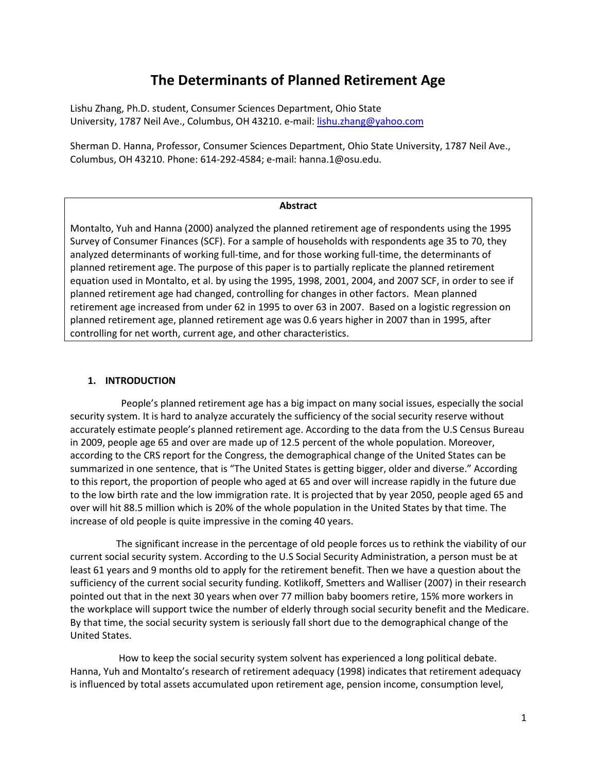# **The Determinants of Planned Retirement Age**

Lishu Zhang, Ph.D. student, Consumer Sciences Department, Ohio State University, 1787 Neil Ave., Columbus, OH 43210. e-mail: [lishu.zhang@yahoo.com](mailto:lishu.zhang@yahoo.com)

Sherman D. Hanna, Professor, Consumer Sciences Department, Ohio State University, 1787 Neil Ave., Columbus, OH 43210. Phone: 614-292-4584; e-mail: hanna.1@osu.edu.

#### **Abstract**

Montalto, Yuh and Hanna (2000) analyzed the planned retirement age of respondents using the 1995 Survey of Consumer Finances (SCF). For a sample of households with respondents age 35 to 70, they analyzed determinants of working full-time, and for those working full-time, the determinants of planned retirement age. The purpose of this paper is to partially replicate the planned retirement equation used in Montalto, et al. by using the 1995, 1998, 2001, 2004, and 2007 SCF, in order to see if planned retirement age had changed, controlling for changes in other factors. Mean planned retirement age increased from under 62 in 1995 to over 63 in 2007. Based on a logistic regression on planned retirement age, planned retirement age was 0.6 years higher in 2007 than in 1995, after controlling for net worth, current age, and other characteristics.

#### **1. INTRODUCTION**

 People's planned retirement age has a big impact on many social issues, especially the social security system. It is hard to analyze accurately the sufficiency of the social security reserve without accurately estimate people's planned retirement age. According to the data from the U.S Census Bureau in 2009, people age 65 and over are made up of 12.5 percent of the whole population. Moreover, according to the CRS report for the Congress, the demographical change of the United States can be summarized in one sentence, that is "The United States is getting bigger, older and diverse." According to this report, the proportion of people who aged at 65 and over will increase rapidly in the future due to the low birth rate and the low immigration rate. It is projected that by year 2050, people aged 65 and over will hit 88.5 million which is 20% of the whole population in the United States by that time. The increase of old people is quite impressive in the coming 40 years.

 The significant increase in the percentage of old people forces us to rethink the viability of our current social security system. According to the U.S Social Security Administration, a person must be at least 61 years and 9 months old to apply for the retirement benefit. Then we have a question about the sufficiency of the current social security funding. Kotlikoff, Smetters and Walliser (2007) in their research pointed out that in the next 30 years when over 77 million baby boomers retire, 15% more workers in the workplace will support twice the number of elderly through social security benefit and the Medicare. By that time, the social security system is seriously fall short due to the demographical change of the United States.

 How to keep the social security system solvent has experienced a long political debate. Hanna, Yuh and Montalto's research of retirement adequacy (1998) indicates that retirement adequacy is influenced by total assets accumulated upon retirement age, pension income, consumption level,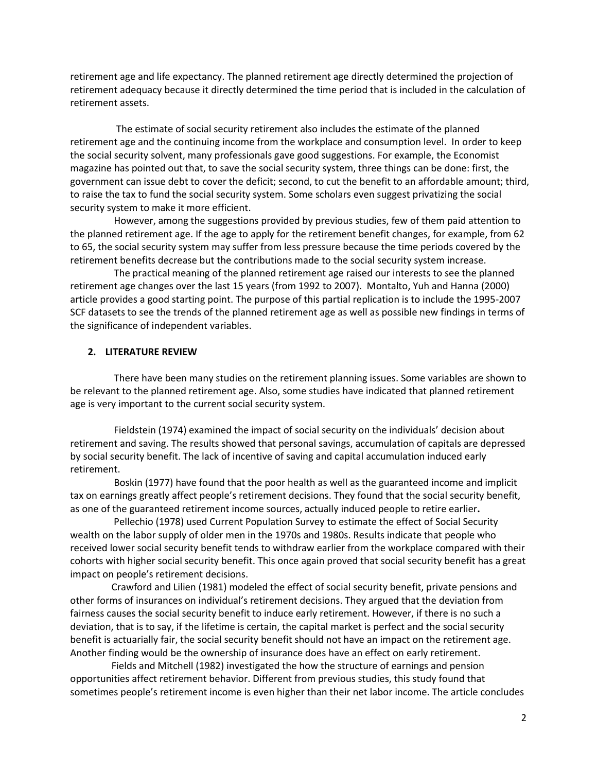retirement age and life expectancy. The planned retirement age directly determined the projection of retirement adequacy because it directly determined the time period that is included in the calculation of retirement assets.

 The estimate of social security retirement also includes the estimate of the planned retirement age and the continuing income from the workplace and consumption level. In order to keep the social security solvent, many professionals gave good suggestions. For example, the Economist magazine has pointed out that, to save the social security system, three things can be done: first, the government can issue debt to cover the deficit; second, to cut the benefit to an affordable amount; third, to raise the tax to fund the social security system. Some scholars even suggest privatizing the social security system to make it more efficient.

 However, among the suggestions provided by previous studies, few of them paid attention to the planned retirement age. If the age to apply for the retirement benefit changes, for example, from 62 to 65, the social security system may suffer from less pressure because the time periods covered by the retirement benefits decrease but the contributions made to the social security system increase.

 The practical meaning of the planned retirement age raised our interests to see the planned retirement age changes over the last 15 years (from 1992 to 2007). Montalto, Yuh and Hanna (2000) article provides a good starting point. The purpose of this partial replication is to include the 1995-2007 SCF datasets to see the trends of the planned retirement age as well as possible new findings in terms of the significance of independent variables.

#### **2. LITERATURE REVIEW**

 There have been many studies on the retirement planning issues. Some variables are shown to be relevant to the planned retirement age. Also, some studies have indicated that planned retirement age is very important to the current social security system.

 Fieldstein (1974) examined the impact of social security on the individuals' decision about retirement and saving. The results showed that personal savings, accumulation of capitals are depressed by social security benefit. The lack of incentive of saving and capital accumulation induced early retirement.

 Boskin (1977) have found that the poor health as well as the guaranteed income and implicit tax on earnings greatly affect people's retirement decisions. They found that the social security benefit, as one of the guaranteed retirement income sources, actually induced people to retire earlier**.** 

 Pellechio (1978) used Current Population Survey to estimate the effect of Social Security wealth on the labor supply of older men in the 1970s and 1980s. Results indicate that people who received lower social security benefit tends to withdraw earlier from the workplace compared with their cohorts with higher social security benefit. This once again proved that social security benefit has a great impact on people's retirement decisions.

 Crawford and Lilien (1981) modeled the effect of social security benefit, private pensions and other forms of insurances on individual's retirement decisions. They argued that the deviation from fairness causes the social security benefit to induce early retirement. However, if there is no such a deviation, that is to say, if the lifetime is certain, the capital market is perfect and the social security benefit is actuarially fair, the social security benefit should not have an impact on the retirement age. Another finding would be the ownership of insurance does have an effect on early retirement.

 Fields and Mitchell (1982) investigated the how the structure of earnings and pension opportunities affect retirement behavior. Different from previous studies, this study found that sometimes people's retirement income is even higher than their net labor income. The article concludes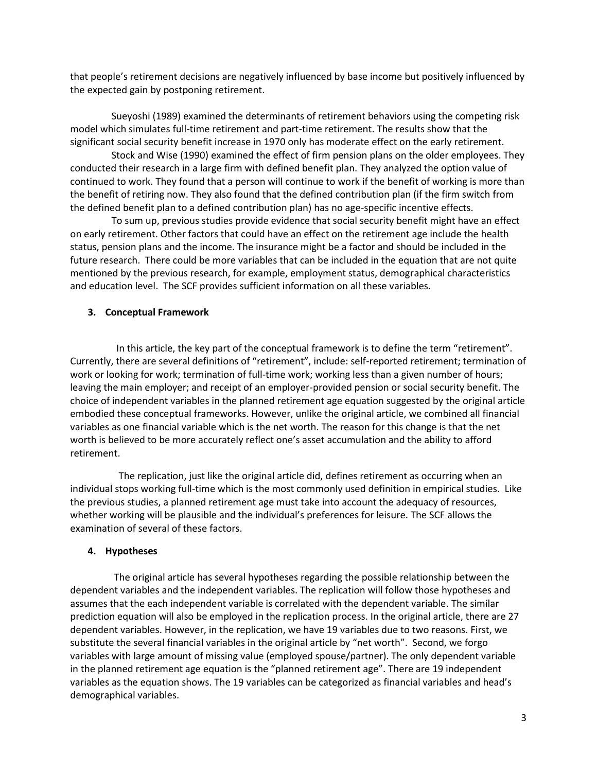that people's retirement decisions are negatively influenced by base income but positively influenced by the expected gain by postponing retirement.

 Sueyoshi (1989) examined the determinants of retirement behaviors using the competing risk model which simulates full-time retirement and part-time retirement. The results show that the significant social security benefit increase in 1970 only has moderate effect on the early retirement.

 Stock and Wise (1990) examined the effect of firm pension plans on the older employees. They conducted their research in a large firm with defined benefit plan. They analyzed the option value of continued to work. They found that a person will continue to work if the benefit of working is more than the benefit of retiring now. They also found that the defined contribution plan (if the firm switch from the defined benefit plan to a defined contribution plan) has no age-specific incentive effects.

 To sum up, previous studies provide evidence that social security benefit might have an effect on early retirement. Other factors that could have an effect on the retirement age include the health status, pension plans and the income. The insurance might be a factor and should be included in the future research. There could be more variables that can be included in the equation that are not quite mentioned by the previous research, for example, employment status, demographical characteristics and education level. The SCF provides sufficient information on all these variables.

#### **3. Conceptual Framework**

 In this article, the key part of the conceptual framework is to define the term "retirement". Currently, there are several definitions of "retirement", include: self-reported retirement; termination of work or looking for work; termination of full-time work; working less than a given number of hours; leaving the main employer; and receipt of an employer-provided pension or social security benefit. The choice of independent variables in the planned retirement age equation suggested by the original article embodied these conceptual frameworks. However, unlike the original article, we combined all financial variables as one financial variable which is the net worth. The reason for this change is that the net worth is believed to be more accurately reflect one's asset accumulation and the ability to afford retirement.

 The replication, just like the original article did, defines retirement as occurring when an individual stops working full-time which is the most commonly used definition in empirical studies. Like the previous studies, a planned retirement age must take into account the adequacy of resources, whether working will be plausible and the individual's preferences for leisure. The SCF allows the examination of several of these factors.

#### **4. Hypotheses**

 The original article has several hypotheses regarding the possible relationship between the dependent variables and the independent variables. The replication will follow those hypotheses and assumes that the each independent variable is correlated with the dependent variable. The similar prediction equation will also be employed in the replication process. In the original article, there are 27 dependent variables. However, in the replication, we have 19 variables due to two reasons. First, we substitute the several financial variables in the original article by "net worth". Second, we forgo variables with large amount of missing value (employed spouse/partner). The only dependent variable in the planned retirement age equation is the "planned retirement age". There are 19 independent variables as the equation shows. The 19 variables can be categorized as financial variables and head's demographical variables.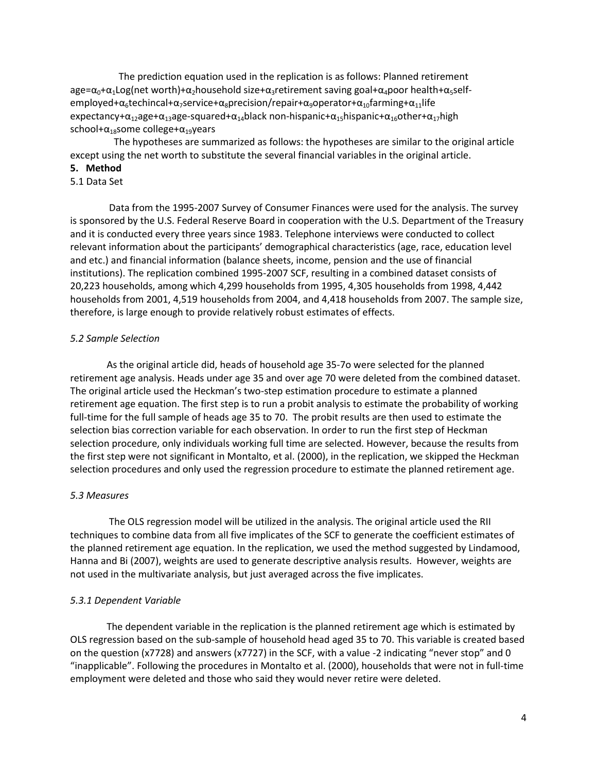The prediction equation used in the replication is as follows: Planned retirement age= $\alpha_0+\alpha_1$ Log(net worth)+ $\alpha_2$ household size+ $\alpha_3$ retirement saving goal+ $\alpha_4$ poor health+ $\alpha_5$ selfemployed+ $\alpha_6$ techincal+ $\alpha_7$ service+ $\alpha_8$ precision/repair+ $\alpha_9$ operator+ $\alpha_{10}$ farming+ $\alpha_{11}$ life expectancy+ $\alpha_{12}$ age+ $\alpha_{13}$ age-squared+ $\alpha_{14}$ black non-hispanic+ $\alpha_{15}$ hispanic+ $\alpha_{16}$ other+ $\alpha_{17}$ high school+ $\alpha_{18}$ some college+ $\alpha_{19}$ years

 The hypotheses are summarized as follows: the hypotheses are similar to the original article except using the net worth to substitute the several financial variables in the original article.

#### **5. Method**

### 5.1 Data Set

 Data from the 1995-2007 Survey of Consumer Finances were used for the analysis. The survey is sponsored by the U.S. Federal Reserve Board in cooperation with the U.S. Department of the Treasury and it is conducted every three years since 1983. Telephone interviews were conducted to collect relevant information about the participants' demographical characteristics (age, race, education level and etc.) and financial information (balance sheets, income, pension and the use of financial institutions). The replication combined 1995-2007 SCF, resulting in a combined dataset consists of 20,223 households, among which 4,299 households from 1995, 4,305 households from 1998, 4,442 households from 2001, 4,519 households from 2004, and 4,418 households from 2007. The sample size, therefore, is large enough to provide relatively robust estimates of effects.

#### *5.2 Sample Selection*

 As the original article did, heads of household age 35-7o were selected for the planned retirement age analysis. Heads under age 35 and over age 70 were deleted from the combined dataset. The original article used the Heckman's two-step estimation procedure to estimate a planned retirement age equation. The first step is to run a probit analysis to estimate the probability of working full-time for the full sample of heads age 35 to 70. The probit results are then used to estimate the selection bias correction variable for each observation. In order to run the first step of Heckman selection procedure, only individuals working full time are selected. However, because the results from the first step were not significant in Montalto, et al. (2000), in the replication, we skipped the Heckman selection procedures and only used the regression procedure to estimate the planned retirement age.

#### *5.3 Measures*

 The OLS regression model will be utilized in the analysis. The original article used the RII techniques to combine data from all five implicates of the SCF to generate the coefficient estimates of the planned retirement age equation. In the replication, we used the method suggested by Lindamood, Hanna and Bi (2007), weights are used to generate descriptive analysis results. However, weights are not used in the multivariate analysis, but just averaged across the five implicates.

### *5.3.1 Dependent Variable*

 The dependent variable in the replication is the planned retirement age which is estimated by OLS regression based on the sub-sample of household head aged 35 to 70. This variable is created based on the question (x7728) and answers (x7727) in the SCF, with a value -2 indicating "never stop" and 0 "inapplicable". Following the procedures in Montalto et al. (2000), households that were not in full-time employment were deleted and those who said they would never retire were deleted.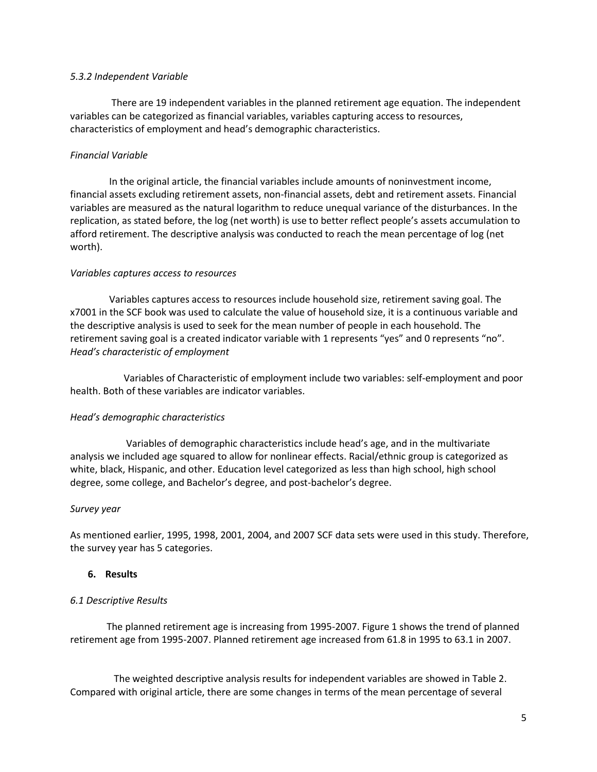#### *5.3.2 Independent Variable*

 There are 19 independent variables in the planned retirement age equation. The independent variables can be categorized as financial variables, variables capturing access to resources, characteristics of employment and head's demographic characteristics.

# *Financial Variable*

 In the original article, the financial variables include amounts of noninvestment income, financial assets excluding retirement assets, non-financial assets, debt and retirement assets. Financial variables are measured as the natural logarithm to reduce unequal variance of the disturbances. In the replication, as stated before, the log (net worth) is use to better reflect people's assets accumulation to afford retirement. The descriptive analysis was conducted to reach the mean percentage of log (net worth).

### *Variables captures access to resources*

 Variables captures access to resources include household size, retirement saving goal. The x7001 in the SCF book was used to calculate the value of household size, it is a continuous variable and the descriptive analysis is used to seek for the mean number of people in each household. The retirement saving goal is a created indicator variable with 1 represents "yes" and 0 represents "no". *Head's characteristic of employment*

 Variables of Characteristic of employment include two variables: self-employment and poor health. Both of these variables are indicator variables.

### *Head's demographic characteristics*

 Variables of demographic characteristics include head's age, and in the multivariate analysis we included age squared to allow for nonlinear effects. Racial/ethnic group is categorized as white, black, Hispanic, and other. Education level categorized as less than high school, high school degree, some college, and Bachelor's degree, and post-bachelor's degree.

### *Survey year*

As mentioned earlier, 1995, 1998, 2001, 2004, and 2007 SCF data sets were used in this study. Therefore, the survey year has 5 categories.

### **6. Results**

### *6.1 Descriptive Results*

 The planned retirement age is increasing from 1995-2007. Figure 1 shows the trend of planned retirement age from 1995-2007. Planned retirement age increased from 61.8 in 1995 to 63.1 in 2007.

 The weighted descriptive analysis results for independent variables are showed in Table 2. Compared with original article, there are some changes in terms of the mean percentage of several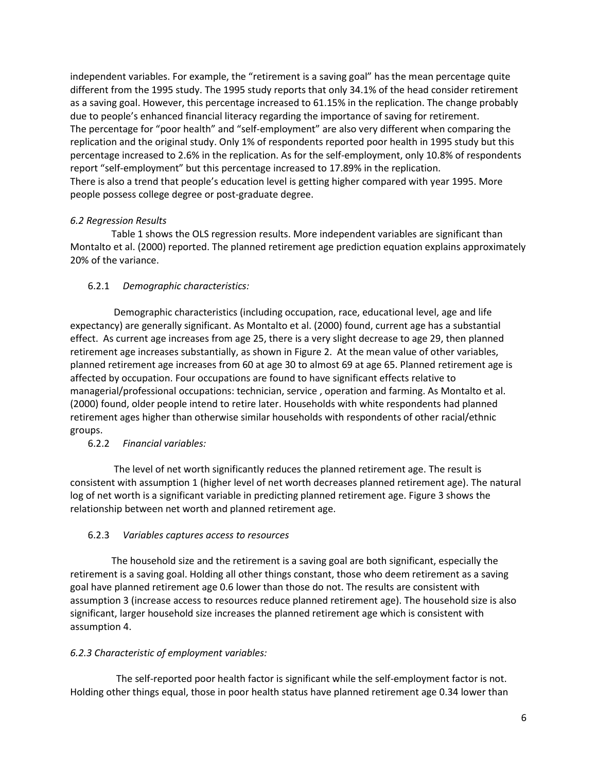independent variables. For example, the "retirement is a saving goal" has the mean percentage quite different from the 1995 study. The 1995 study reports that only 34.1% of the head consider retirement as a saving goal. However, this percentage increased to 61.15% in the replication. The change probably due to people's enhanced financial literacy regarding the importance of saving for retirement. The percentage for "poor health" and "self-employment" are also very different when comparing the replication and the original study. Only 1% of respondents reported poor health in 1995 study but this percentage increased to 2.6% in the replication. As for the self-employment, only 10.8% of respondents report "self-employment" but this percentage increased to 17.89% in the replication. There is also a trend that people's education level is getting higher compared with year 1995. More people possess college degree or post-graduate degree.

# *6.2 Regression Results*

 Table 1 shows the OLS regression results. More independent variables are significant than Montalto et al. (2000) reported. The planned retirement age prediction equation explains approximately 20% of the variance.

# 6.2.1 *Demographic characteristics:*

 Demographic characteristics (including occupation, race, educational level, age and life expectancy) are generally significant. As Montalto et al. (2000) found, current age has a substantial effect. As current age increases from age 25, there is a very slight decrease to age 29, then planned retirement age increases substantially, as shown in Figure 2. At the mean value of other variables, planned retirement age increases from 60 at age 30 to almost 69 at age 65. Planned retirement age is affected by occupation. Four occupations are found to have significant effects relative to managerial/professional occupations: technician, service , operation and farming. As Montalto et al. (2000) found, older people intend to retire later. Households with white respondents had planned retirement ages higher than otherwise similar households with respondents of other racial/ethnic groups.

### 6.2.2 *Financial variables:*

 The level of net worth significantly reduces the planned retirement age. The result is consistent with assumption 1 (higher level of net worth decreases planned retirement age). The natural log of net worth is a significant variable in predicting planned retirement age. Figure 3 shows the relationship between net worth and planned retirement age.

### 6.2.3 *Variables captures access to resources*

 The household size and the retirement is a saving goal are both significant, especially the retirement is a saving goal. Holding all other things constant, those who deem retirement as a saving goal have planned retirement age 0.6 lower than those do not. The results are consistent with assumption 3 (increase access to resources reduce planned retirement age). The household size is also significant, larger household size increases the planned retirement age which is consistent with assumption 4.

# *6.2.3 Characteristic of employment variables:*

 The self-reported poor health factor is significant while the self-employment factor is not. Holding other things equal, those in poor health status have planned retirement age 0.34 lower than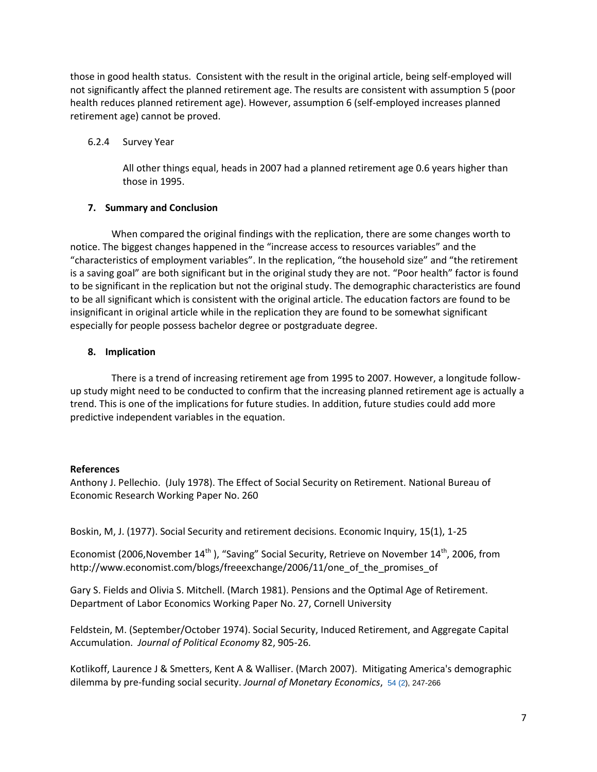those in good health status. Consistent with the result in the original article, being self-employed will not significantly affect the planned retirement age. The results are consistent with assumption 5 (poor health reduces planned retirement age). However, assumption 6 (self-employed increases planned retirement age) cannot be proved.

### 6.2.4 Survey Year

All other things equal, heads in 2007 had a planned retirement age 0.6 years higher than those in 1995.

# **7. Summary and Conclusion**

 When compared the original findings with the replication, there are some changes worth to notice. The biggest changes happened in the "increase access to resources variables" and the "characteristics of employment variables". In the replication, "the household size" and "the retirement is a saving goal" are both significant but in the original study they are not. "Poor health" factor is found to be significant in the replication but not the original study. The demographic characteristics are found to be all significant which is consistent with the original article. The education factors are found to be insignificant in original article while in the replication they are found to be somewhat significant especially for people possess bachelor degree or postgraduate degree.

# **8. Implication**

 There is a trend of increasing retirement age from 1995 to 2007. However, a longitude followup study might need to be conducted to confirm that the increasing planned retirement age is actually a trend. This is one of the implications for future studies. In addition, future studies could add more predictive independent variables in the equation.

# **References**

Anthony J. Pellechio. (July 1978). The Effect of Social Security on Retirement. National Bureau of Economic Research Working Paper No. 260

Boskin, M, J. (1977). Social Security and retirement decisions. Economic Inquiry, 15(1), 1-25

Economist (2006, November 14<sup>th</sup>), "Saving" Social Security, Retrieve on November 14<sup>th</sup>, 2006, from http://www.economist.com/blogs/freeexchange/2006/11/one\_of\_the\_promises\_of

Gary S. Fields and Olivia S. Mitchell. (March 1981). Pensions and the Optimal Age of Retirement. Department of Labor Economics Working Paper No. 27, Cornell University

Feldstein, M. (September/October 1974). Social Security, Induced Retirement, and Aggregate Capital Accumulation. *Journal of Political Economy* 82, 905-26.

Kotlikoff, Laurence J & Smetters, Kent A & Walliser. (March 2007). Mitigating America's demographic dilemma by pre-funding social security. *Journal of Monetary Economics*, 54 [\(2\)](http://www.sciencedirect.com/science?_ob=PublicationURL&_tockey=%23TOC%235937%232007%23999459997%23646114%23FLA%23&_cdi=5937&_pubType=J&view=c&_auth=y&_acct=C000050221&_version=1&_urlVersion=0&_userid=10&md5=ca3e06943330f7e617507d404d3c4ddc), 247-266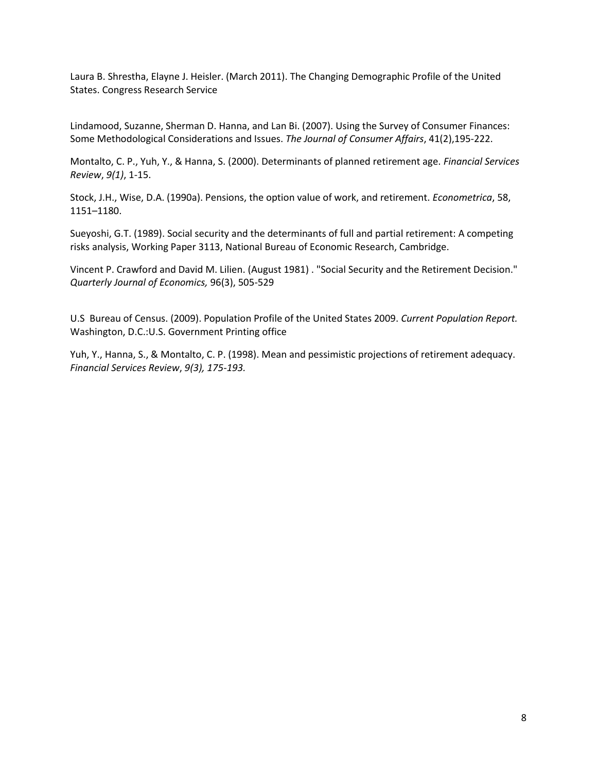Laura B. Shrestha, Elayne J. Heisler. (March 2011). The Changing Demographic Profile of the United States. Congress Research Service

Lindamood, Suzanne, Sherman D. Hanna, and Lan Bi. (2007). Using the Survey of Consumer Finances: Some Methodological Considerations and Issues. *The Journal of Consumer Affairs*, 41(2),195-222.

Montalto, C. P., Yuh, Y., & Hanna, S. (2000). Determinants of planned retirement age. *Financial Services Review*, *9(1)*, 1-15.

Stock, J.H., Wise, D.A. (1990a). Pensions, the option value of work, and retirement. *Econometrica*, 58, 1151–1180.

Sueyoshi, G.T. (1989). Social security and the determinants of full and partial retirement: A competing risks analysis, Working Paper 3113, National Bureau of Economic Research, Cambridge.

Vincent P. Crawford and David M. Lilien. (August 1981) . "Social Security and the Retirement Decision." *Quarterly Journal of Economics,* 96(3), 505-529

U.S Bureau of Census. (2009). Population Profile of the United States 2009. *Current Population Report.*  Washington, D.C.:U.S. Government Printing office

Yuh, Y., Hanna, S., & Montalto, C. P. (1998). Mean and pessimistic projections of retirement adequacy. *Financial Services Review*, *9(3), 175-193.*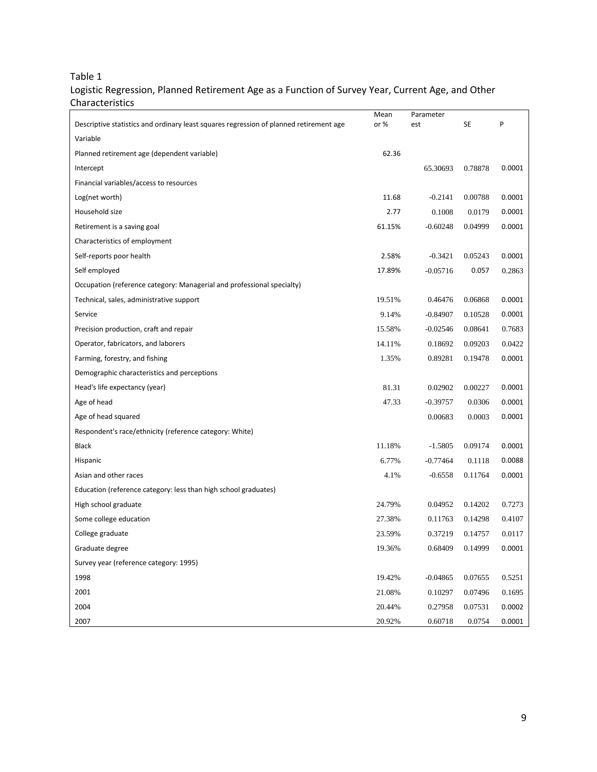# Table 1

# Logistic Regression, Planned Retirement Age as a Function of Survey Year, Current Age, and Other Characteristics

|                                                                                        | Mean   | Parameter  |         |        |
|----------------------------------------------------------------------------------------|--------|------------|---------|--------|
| Descriptive statistics and ordinary least squares regression of planned retirement age | or%    | est        | SE      | P      |
| Variable                                                                               |        |            |         |        |
| Planned retirement age (dependent variable)                                            | 62.36  |            |         |        |
| Intercept                                                                              |        | 65.30693   | 0.78878 | 0.0001 |
| Financial variables/access to resources                                                |        |            |         |        |
| Log(net worth)                                                                         | 11.68  | $-0.2141$  | 0.00788 | 0.0001 |
| Household size                                                                         | 2.77   | 0.1008     | 0.0179  | 0.0001 |
| Retirement is a saving goal                                                            | 61.15% | $-0.60248$ | 0.04999 | 0.0001 |
| Characteristics of employment                                                          |        |            |         |        |
| Self-reports poor health                                                               | 2.58%  | $-0.3421$  | 0.05243 | 0.0001 |
| Self employed                                                                          | 17.89% | $-0.05716$ | 0.057   | 0.2863 |
| Occupation (reference category: Managerial and professional specialty)                 |        |            |         |        |
| Technical, sales, administrative support                                               | 19.51% | 0.46476    | 0.06868 | 0.0001 |
| Service                                                                                | 9.14%  | $-0.84907$ | 0.10528 | 0.0001 |
| Precision production, craft and repair                                                 | 15.58% | $-0.02546$ | 0.08641 | 0.7683 |
| Operator, fabricators, and laborers                                                    | 14.11% | 0.18692    | 0.09203 | 0.0422 |
| Farming, forestry, and fishing                                                         | 1.35%  | 0.89281    | 0.19478 | 0.0001 |
| Demographic characteristics and perceptions                                            |        |            |         |        |
| Head's life expectancy (year)                                                          | 81.31  | 0.02902    | 0.00227 | 0.0001 |
| Age of head                                                                            | 47.33  | $-0.39757$ | 0.0306  | 0.0001 |
| Age of head squared                                                                    |        | 0.00683    | 0.0003  | 0.0001 |
| Respondent's race/ethnicity (reference category: White)                                |        |            |         |        |
| <b>Black</b>                                                                           | 11.18% | $-1.5805$  | 0.09174 | 0.0001 |
| Hispanic                                                                               | 6.77%  | $-0.77464$ | 0.1118  | 0.0088 |
| Asian and other races                                                                  | 4.1%   | $-0.6558$  | 0.11764 | 0.0001 |
| Education (reference category: less than high school graduates)                        |        |            |         |        |
| High school graduate                                                                   | 24.79% | 0.04952    | 0.14202 | 0.7273 |
| Some college education                                                                 | 27.38% | 0.11763    | 0.14298 | 0.4107 |
| College graduate                                                                       | 23.59% | 0.37219    | 0.14757 | 0.0117 |
| Graduate degree                                                                        | 19.36% | 0.68409    | 0.14999 | 0.0001 |
| Survey year (reference category: 1995)                                                 |        |            |         |        |
| 1998                                                                                   | 19.42% | $-0.04865$ | 0.07655 | 0.5251 |
| 2001                                                                                   | 21.08% | 0.10297    | 0.07496 | 0.1695 |
| 2004                                                                                   | 20.44% | 0.27958    | 0.07531 | 0.0002 |
| 2007                                                                                   | 20.92% | 0.60718    | 0.0754  | 0.0001 |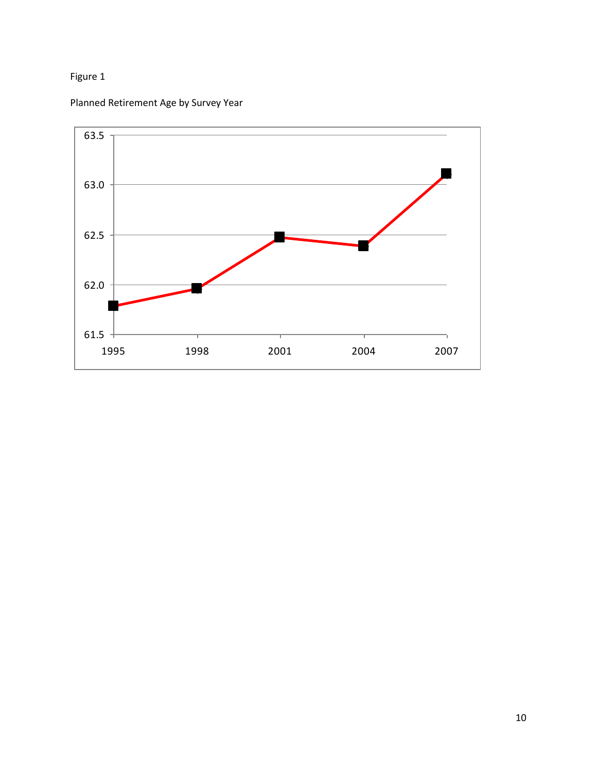# Figure 1



Planned Retirement Age by Survey Year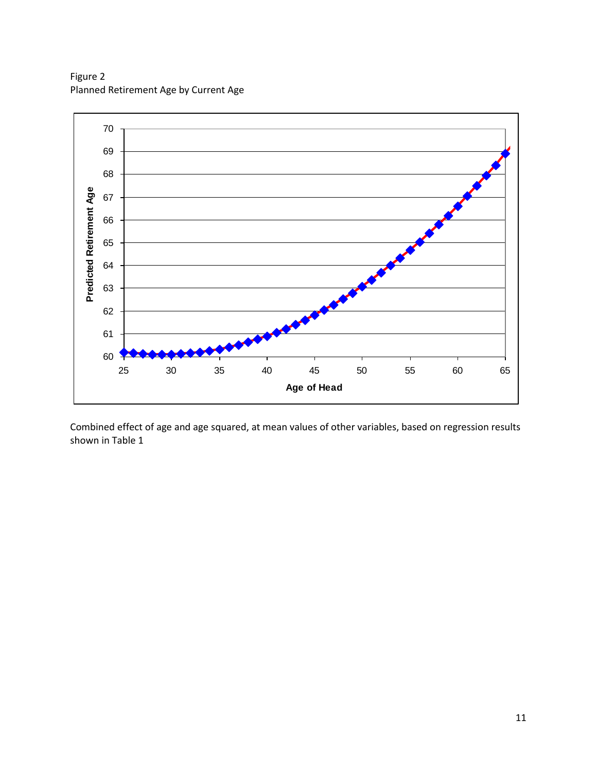Figure 2 Planned Retirement Age by Current Age



Combined effect of age and age squared, at mean values of other variables, based on regression results shown in Table 1